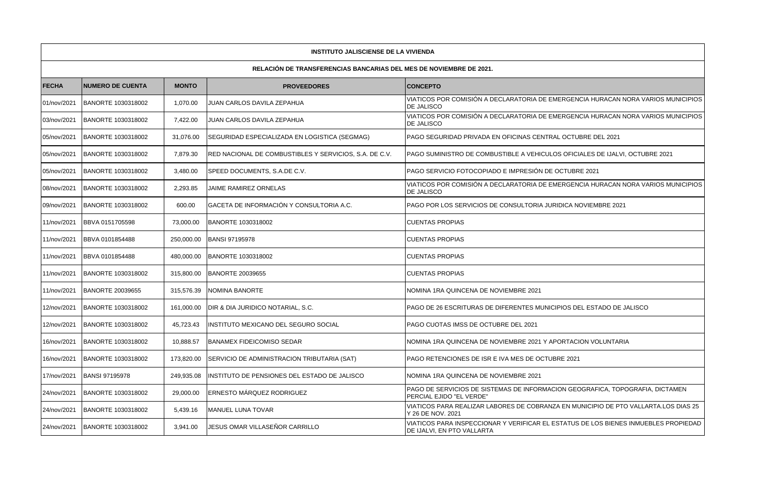| <b>INSTITUTO JALISCIENSE DE LA VIVIENDA</b>                               |                         |            |                                                        |                                                                                                                   |  |  |  |  |  |  |
|---------------------------------------------------------------------------|-------------------------|------------|--------------------------------------------------------|-------------------------------------------------------------------------------------------------------------------|--|--|--|--|--|--|
| <b>RELACIÓN DE TRANSFERENCIAS BANCARIAS DEL MES DE NOVIEMBRE DE 2021.</b> |                         |            |                                                        |                                                                                                                   |  |  |  |  |  |  |
| <b>FECHA</b><br><b>NUMERO DE CUENTA</b><br><b>MONTO</b>                   |                         |            | <b>PROVEEDORES</b>                                     | <b>CONCEPTO</b>                                                                                                   |  |  |  |  |  |  |
| 01/nov/2021                                                               | BANORTE 1030318002      | 1,070.00   | JUAN CARLOS DAVILA ZEPAHUA                             | VIATICOS POR COMISIÓN A DECLARATORIA DE EMERGENCIA HURACAN NORA VARIOS MUNICIPIOS<br>DE JALISCO                   |  |  |  |  |  |  |
| 03/nov/2021                                                               | BANORTE 1030318002      | 7,422.00   | JUAN CARLOS DAVILA ZEPAHUA                             | VIATICOS POR COMISIÓN A DECLARATORIA DE EMERGENCIA HURACAN NORA VARIOS MUNICIPIOS<br><b>DE JALISCO</b>            |  |  |  |  |  |  |
| 05/nov/2021                                                               | BANORTE 1030318002      | 31.076.00  | SEGURIDAD ESPECIALIZADA EN LOGISTICA (SEGMAG)          | <b>PAGO SEGURIDAD PRIVADA EN OFICINAS CENTRAL OCTUBRE DEL 2021</b>                                                |  |  |  |  |  |  |
| 05/nov/2021                                                               | BANORTE 1030318002      | 7,879.30   | RED NACIONAL DE COMBUSTIBLES Y SERVICIOS, S.A. DE C.V. | PAGO SUMINISTRO DE COMBUSTIBLE A VEHICULOS OFICIALES DE IJALVI, OCTUBRE 2021                                      |  |  |  |  |  |  |
| 05/nov/2021                                                               | BANORTE 1030318002      | 3,480.00   | SPEED DOCUMENTS, S.A.DE C.V.                           | PAGO SERVICIO FOTOCOPIADO E IMPRESIÓN DE OCTUBRE 2021                                                             |  |  |  |  |  |  |
| 08/nov/2021                                                               | BANORTE 1030318002      | 2,293.85   | JAIME RAMIREZ ORNELAS                                  | VIATICOS POR COMISIÓN A DECLARATORIA DE EMERGENCIA HURACAN NORA VARIOS MUNICIPIOS<br>DE JALISCO                   |  |  |  |  |  |  |
| 09/nov/2021                                                               | BANORTE 1030318002      | 600.00     | GACETA DE INFORMACIÓN Y CONSULTORIA A.C.               | PAGO POR LOS SERVICIOS DE CONSULTORIA JURIDICA NOVIEMBRE 2021                                                     |  |  |  |  |  |  |
| 11/nov/2021                                                               | BBVA 0151705598         | 73,000.00  | BANORTE 1030318002                                     | <b>CUENTAS PROPIAS</b>                                                                                            |  |  |  |  |  |  |
| 11/nov/2021                                                               | BBVA 0101854488         | 250.000.00 | <b>BANSI 97195978</b>                                  | <b>CUENTAS PROPIAS</b>                                                                                            |  |  |  |  |  |  |
| 11/nov/2021                                                               | BBVA 0101854488         | 480,000.00 | BANORTE 1030318002                                     | <b>CUENTAS PROPIAS</b>                                                                                            |  |  |  |  |  |  |
| 11/nov/2021                                                               | BANORTE 1030318002      | 315.800.00 | <b>BANORTE 20039655</b>                                | <b>CUENTAS PROPIAS</b>                                                                                            |  |  |  |  |  |  |
| 11/nov/2021                                                               | <b>BANORTE 20039655</b> | 315,576.39 | NOMINA BANORTE                                         | NOMINA 1RA QUINCENA DE NOVIEMBRE 2021                                                                             |  |  |  |  |  |  |
| 12/nov/2021                                                               | BANORTE 1030318002      | 161,000.00 | DIR & DIA JURIDICO NOTARIAL, S.C.                      | PAGO DE 26 ESCRITURAS DE DIFERENTES MUNICIPIOS DEL ESTADO DE JALISCO                                              |  |  |  |  |  |  |
| 12/nov/2021                                                               | BANORTE 1030318002      | 45,723.43  | INSTITUTO MEXICANO DEL SEGURO SOCIAL                   | PAGO CUOTAS IMSS DE OCTUBRE DEL 2021                                                                              |  |  |  |  |  |  |
| 16/nov/2021                                                               | BANORTE 1030318002      | 10,888.57  | <b>BANAMEX FIDEICOMISO SEDAR</b>                       | NOMINA 1RA QUINCENA DE NOVIEMBRE 2021 Y APORTACION VOLUNTARIA                                                     |  |  |  |  |  |  |
| 16/nov/2021                                                               | BANORTE 1030318002      | 173,820.00 | SERVICIO DE ADMINISTRACION TRIBUTARIA (SAT)            | PAGO RETENCIONES DE ISR E IVA MES DE OCTUBRE 2021                                                                 |  |  |  |  |  |  |
| 17/nov/2021                                                               | <b>BANSI 97195978</b>   | 249,935.08 | INSTITUTO DE PENSIONES DEL ESTADO DE JALISCO           | NOMINA 1RA QUINCENA DE NOVIEMBRE 2021                                                                             |  |  |  |  |  |  |
| 24/nov/2021                                                               | BANORTE 1030318002      | 29,000.00  | ERNESTO MÁRQUEZ RODRIGUEZ                              | PAGO DE SERVICIOS DE SISTEMAS DE INFORMACION GEOGRAFICA, TOPOGRAFIA, DICTAMEN<br>PERCIAL EJIDO "EL VERDE"         |  |  |  |  |  |  |
| 24/nov/2021                                                               | BANORTE 1030318002      | 5,439.16   | MANUEL LUNA TOVAR                                      | VIATICOS PARA REALIZAR LABORES DE COBRANZA EN MUNICIPIO DE PTO VALLARTA.LOS DIAS 25<br>Y 26 DE NOV, 2021          |  |  |  |  |  |  |
| 24/nov/2021                                                               | BANORTE 1030318002      | 3,941.00   | JESUS OMAR VILLASEÑOR CARRILLO                         | VIATICOS PARA INSPECCIONAR Y VERIFICAR EL ESTATUS DE LOS BIENES INMUEBLES PROPIEDAD<br>DE IJALVI, EN PTO VALLARTA |  |  |  |  |  |  |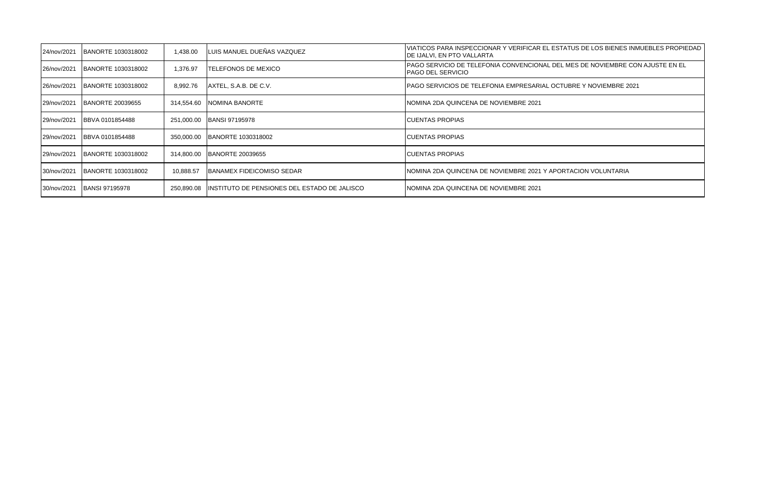| 24/nov/2021 | BANORTE 1030318002      | 1,438.00   | LUIS MANUEL DUEÑAS VAZQUEZ                    | VIATICOS PARA INSPECCIONAR Y VERIFICAR EL ESTATUS DE LOS BIENES INMUEBLES PROPIEDAD<br>IDE IJALVI. EN PTO VALLARTA |
|-------------|-------------------------|------------|-----------------------------------------------|--------------------------------------------------------------------------------------------------------------------|
| 26/nov/2021 | BANORTE 1030318002      | .376.97    | ITELEFONOS DE MEXICO                          | IPAGO SERVICIO DE TELEFONIA CONVENCIONAL DEL MES DE NOVIEMBRE CON AJUSTE EN EL<br><b>PAGO DEL SERVICIO</b>         |
| 26/nov/2021 | BANORTE 1030318002      | 8,992.76   | AXTEL, S.A.B. DE C.V.                         | IPAGO SERVICIOS DE TELEFONIA EMPRESARIAL OCTUBRE Y NOVIEMBRE 2021                                                  |
| 29/nov/2021 | <b>BANORTE 20039655</b> | 314.554.60 | <b>INOMINA BANORTE</b>                        | NOMINA 2DA QUINCENA DE NOVIEMBRE 2021                                                                              |
| 29/nov/2021 | <b>BBVA 0101854488</b>  |            | 251,000.00 BANSI 97195978                     | <b>ICUENTAS PROPIAS</b>                                                                                            |
| 29/nov/2021 | <b>BBVA 0101854488</b>  | 350.000.00 | BANORTE 1030318002                            | <b>ICUENTAS PROPIAS</b>                                                                                            |
| 29/nov/2021 | BANORTE 1030318002      | 314.800.00 | <b>BANORTE 20039655</b>                       | <b>ICUENTAS PROPIAS</b>                                                                                            |
| 30/nov/2021 | BANORTE 1030318002      | 10,888.57  | <b>IBANAMEX FIDEICOMISO SEDAR</b>             | INOMINA 2DA QUINCENA DE NOVIEMBRE 2021 Y APORTACION VOLUNTARIA                                                     |
| 30/nov/2021 | <b>BANSI 97195978</b>   | 250,890.08 | IINSTITUTO DE PENSIONES DEL ESTADO DE JALISCO | INOMINA 2DA QUINCENA DE NOVIEMBRE 2021                                                                             |